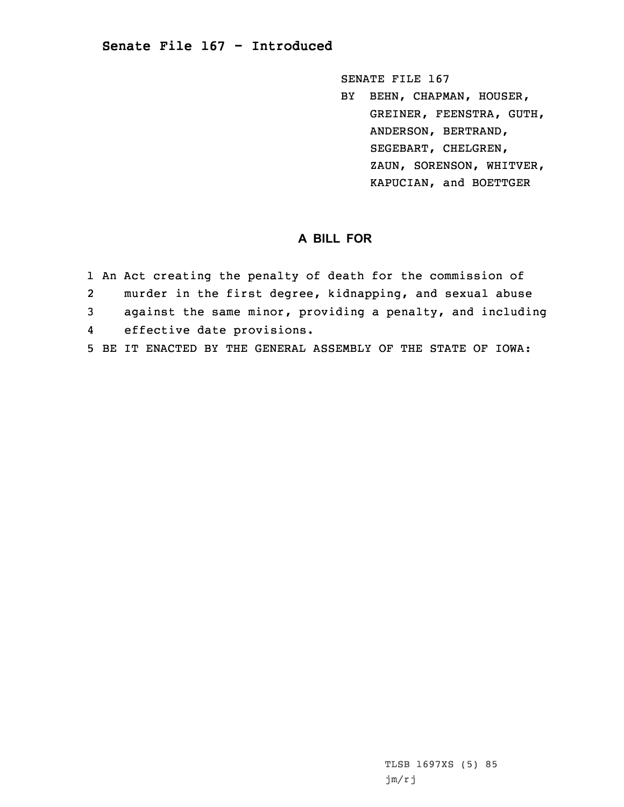## **Senate File 167 - Introduced**

SENATE FILE 167

BY BEHN, CHAPMAN, HOUSER, GREINER, FEENSTRA, GUTH, ANDERSON, BERTRAND, SEGEBART, CHELGREN, ZAUN, SORENSON, WHITVER, KAPUCIAN, and BOETTGER

## **A BILL FOR**

|                | 1 An Act creating the penalty of death for the commission of  |
|----------------|---------------------------------------------------------------|
| 2              | murder in the first degree, kidnapping, and sexual abuse      |
| $\overline{3}$ | against the same minor, providing a penalty, and including    |
| 4              | effective date provisions.                                    |
|                | 5 BE IT ENACTED BY THE GENERAL ASSEMBLY OF THE STATE OF IOWA: |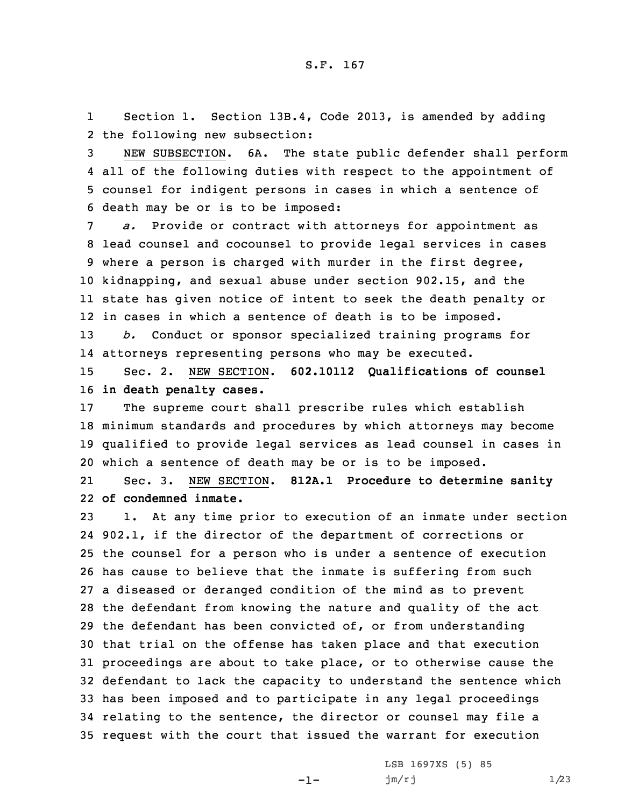1 Section 1. Section 13B.4, Code 2013, is amended by adding 2 the following new subsection:

 NEW SUBSECTION. 6A. The state public defender shall perform all of the following duties with respect to the appointment of counsel for indigent persons in cases in which <sup>a</sup> sentence of death may be or is to be imposed:

 *a.* Provide or contract with attorneys for appointment as lead counsel and cocounsel to provide legal services in cases where <sup>a</sup> person is charged with murder in the first degree, kidnapping, and sexual abuse under section 902.15, and the state has given notice of intent to seek the death penalty or in cases in which <sup>a</sup> sentence of death is to be imposed. *b.* Conduct or sponsor specialized training programs for

14 attorneys representing persons who may be executed.

15 Sec. 2. NEW SECTION. **602.10112 Qualifications of counsel** 16 **in death penalty cases.**

 The supreme court shall prescribe rules which establish minimum standards and procedures by which attorneys may become qualified to provide legal services as lead counsel in cases in which <sup>a</sup> sentence of death may be or is to be imposed.

21 Sec. 3. NEW SECTION. **812A.1 Procedure to determine sanity** 22 **of condemned inmate.**

 1. At any time prior to execution of an inmate under section 902.1, if the director of the department of corrections or the counsel for <sup>a</sup> person who is under <sup>a</sup> sentence of execution has cause to believe that the inmate is suffering from such <sup>a</sup> diseased or deranged condition of the mind as to prevent the defendant from knowing the nature and quality of the act the defendant has been convicted of, or from understanding that trial on the offense has taken place and that execution proceedings are about to take place, or to otherwise cause the defendant to lack the capacity to understand the sentence which has been imposed and to participate in any legal proceedings relating to the sentence, the director or counsel may file <sup>a</sup> request with the court that issued the warrant for execution

-1-

LSB 1697XS (5) 85  $jm/rj$   $1/23$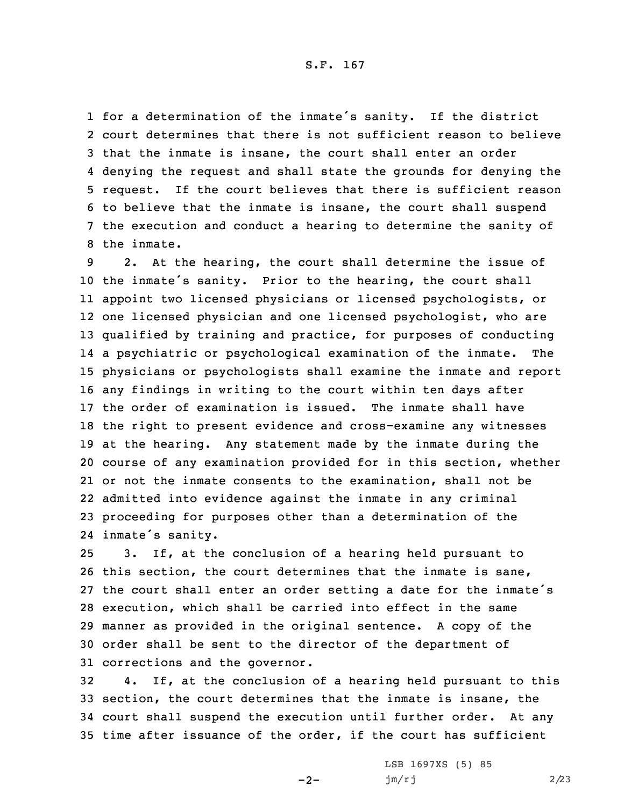for <sup>a</sup> determination of the inmate's sanity. If the district court determines that there is not sufficient reason to believe that the inmate is insane, the court shall enter an order denying the request and shall state the grounds for denying the request. If the court believes that there is sufficient reason to believe that the inmate is insane, the court shall suspend the execution and conduct <sup>a</sup> hearing to determine the sanity of the inmate.

 2. At the hearing, the court shall determine the issue of the inmate's sanity. Prior to the hearing, the court shall appoint two licensed physicians or licensed psychologists, or one licensed physician and one licensed psychologist, who are qualified by training and practice, for purposes of conducting <sup>a</sup> psychiatric or psychological examination of the inmate. The physicians or psychologists shall examine the inmate and report any findings in writing to the court within ten days after the order of examination is issued. The inmate shall have the right to present evidence and cross-examine any witnesses at the hearing. Any statement made by the inmate during the course of any examination provided for in this section, whether or not the inmate consents to the examination, shall not be admitted into evidence against the inmate in any criminal proceeding for purposes other than <sup>a</sup> determination of the inmate's sanity.

 3. If, at the conclusion of <sup>a</sup> hearing held pursuant to this section, the court determines that the inmate is sane, the court shall enter an order setting <sup>a</sup> date for the inmate's execution, which shall be carried into effect in the same manner as provided in the original sentence. <sup>A</sup> copy of the order shall be sent to the director of the department of corrections and the governor.

 4. If, at the conclusion of <sup>a</sup> hearing held pursuant to this section, the court determines that the inmate is insane, the court shall suspend the execution until further order. At any time after issuance of the order, if the court has sufficient

 $-2-$ 

LSB 1697XS (5) 85 jm/rj 2/23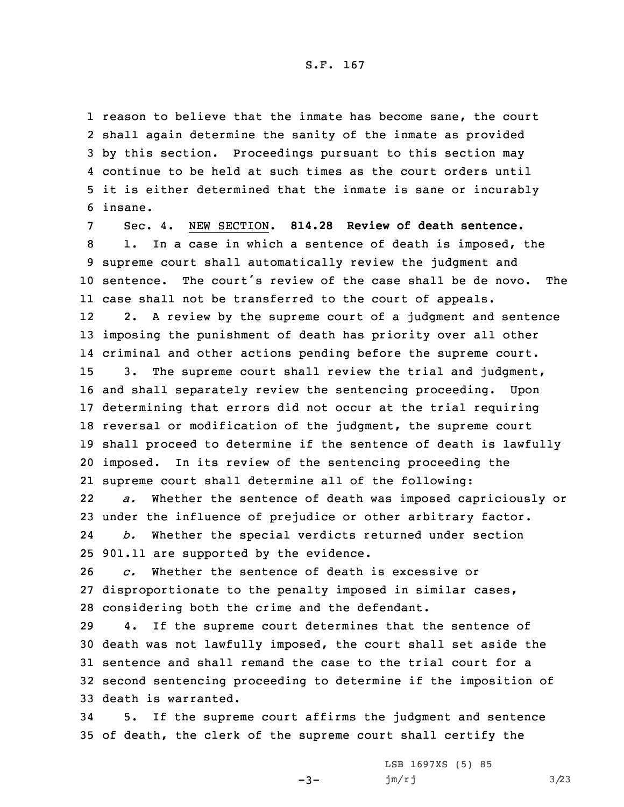reason to believe that the inmate has become sane, the court shall again determine the sanity of the inmate as provided by this section. Proceedings pursuant to this section may continue to be held at such times as the court orders until it is either determined that the inmate is sane or incurably 6 insane.

 Sec. 4. NEW SECTION. **814.28 Review of death sentence.** 1. In <sup>a</sup> case in which <sup>a</sup> sentence of death is imposed, the supreme court shall automatically review the judgment and sentence. The court's review of the case shall be de novo. The case shall not be transferred to the court of appeals. 12 2. <sup>A</sup> review by the supreme court of <sup>a</sup> judgment and sentence imposing the punishment of death has priority over all other criminal and other actions pending before the supreme court. 3. The supreme court shall review the trial and judgment, and shall separately review the sentencing proceeding. Upon determining that errors did not occur at the trial requiring reversal or modification of the judgment, the supreme court shall proceed to determine if the sentence of death is lawfully imposed. In its review of the sentencing proceeding the supreme court shall determine all of the following: 22 *a.* Whether the sentence of death was imposed capriciously or under the influence of prejudice or other arbitrary factor. 24*b.* Whether the special verdicts returned under section

25 901.11 are supported by the evidence.

26 *c.* Whether the sentence of death is excessive or 27 disproportionate to the penalty imposed in similar cases, 28 considering both the crime and the defendant.

 4. If the supreme court determines that the sentence of death was not lawfully imposed, the court shall set aside the sentence and shall remand the case to the trial court for <sup>a</sup> second sentencing proceeding to determine if the imposition of death is warranted.

34 5. If the supreme court affirms the judgment and sentence 35 of death, the clerk of the supreme court shall certify the

 $-3-$ 

LSB 1697XS (5) 85  $jm/rj$  3/23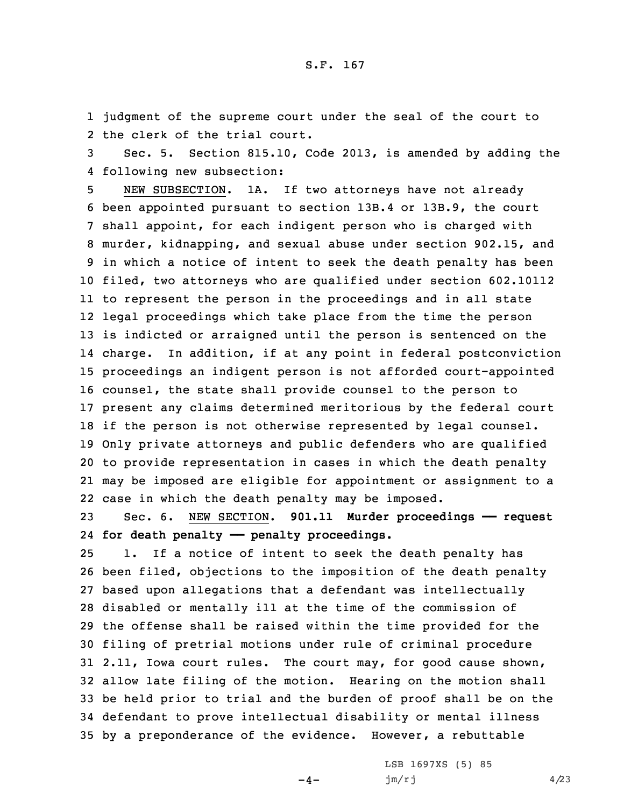1 judgment of the supreme court under the seal of the court to 2 the clerk of the trial court.

3 Sec. 5. Section 815.10, Code 2013, is amended by adding the 4 following new subsection:

 NEW SUBSECTION. 1A. If two attorneys have not already been appointed pursuant to section 13B.4 or 13B.9, the court shall appoint, for each indigent person who is charged with murder, kidnapping, and sexual abuse under section 902.15, and in which <sup>a</sup> notice of intent to seek the death penalty has been filed, two attorneys who are qualified under section 602.10112 to represent the person in the proceedings and in all state legal proceedings which take place from the time the person is indicted or arraigned until the person is sentenced on the charge. In addition, if at any point in federal postconviction proceedings an indigent person is not afforded court-appointed counsel, the state shall provide counsel to the person to present any claims determined meritorious by the federal court if the person is not otherwise represented by legal counsel. Only private attorneys and public defenders who are qualified to provide representation in cases in which the death penalty may be imposed are eligible for appointment or assignment to <sup>a</sup> case in which the death penalty may be imposed.

23 Sec. 6. NEW SECTION. **901.11 Murder proceedings —— request** 24 **for death penalty —— penalty proceedings.**

 1. If <sup>a</sup> notice of intent to seek the death penalty has been filed, objections to the imposition of the death penalty based upon allegations that <sup>a</sup> defendant was intellectually disabled or mentally ill at the time of the commission of the offense shall be raised within the time provided for the filing of pretrial motions under rule of criminal procedure 2.11, Iowa court rules. The court may, for good cause shown, allow late filing of the motion. Hearing on the motion shall be held prior to trial and the burden of proof shall be on the defendant to prove intellectual disability or mental illness by <sup>a</sup> preponderance of the evidence. However, <sup>a</sup> rebuttable

 $-4-$ 

LSB 1697XS (5) 85  $jm/rj$  4/23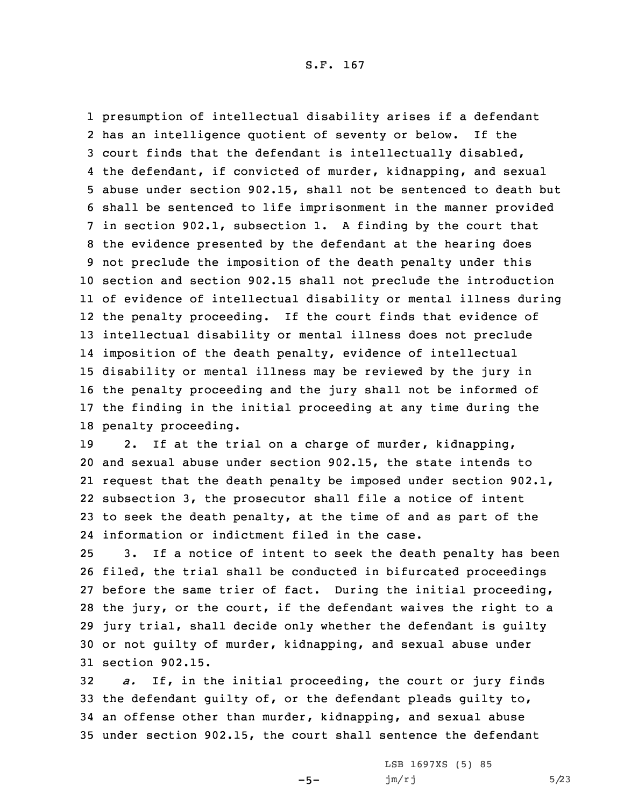presumption of intellectual disability arises if <sup>a</sup> defendant has an intelligence quotient of seventy or below. If the court finds that the defendant is intellectually disabled, the defendant, if convicted of murder, kidnapping, and sexual abuse under section 902.15, shall not be sentenced to death but shall be sentenced to life imprisonment in the manner provided in section 902.1, subsection 1. <sup>A</sup> finding by the court that the evidence presented by the defendant at the hearing does not preclude the imposition of the death penalty under this section and section 902.15 shall not preclude the introduction of evidence of intellectual disability or mental illness during the penalty proceeding. If the court finds that evidence of intellectual disability or mental illness does not preclude imposition of the death penalty, evidence of intellectual disability or mental illness may be reviewed by the jury in the penalty proceeding and the jury shall not be informed of the finding in the initial proceeding at any time during the penalty proceeding.

 2. If at the trial on <sup>a</sup> charge of murder, kidnapping, and sexual abuse under section 902.15, the state intends to request that the death penalty be imposed under section 902.1, subsection 3, the prosecutor shall file <sup>a</sup> notice of intent to seek the death penalty, at the time of and as part of the information or indictment filed in the case.

 3. If <sup>a</sup> notice of intent to seek the death penalty has been filed, the trial shall be conducted in bifurcated proceedings before the same trier of fact. During the initial proceeding, the jury, or the court, if the defendant waives the right to <sup>a</sup> jury trial, shall decide only whether the defendant is guilty or not guilty of murder, kidnapping, and sexual abuse under section 902.15.

 *a.* If, in the initial proceeding, the court or jury finds the defendant guilty of, or the defendant pleads guilty to, an offense other than murder, kidnapping, and sexual abuse under section 902.15, the court shall sentence the defendant

 $-5-$ 

LSB 1697XS (5) 85  $jm/rj$  5/23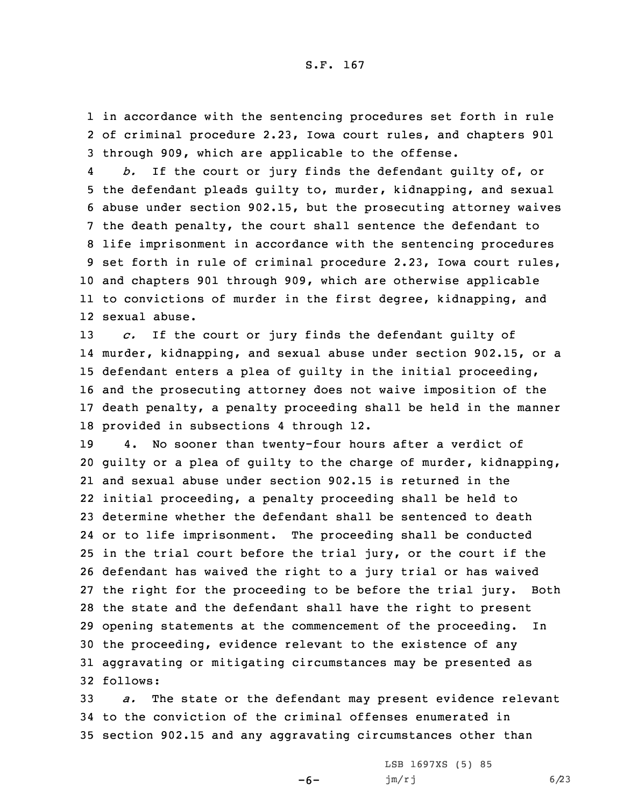1 in accordance with the sentencing procedures set forth in rule 2 of criminal procedure 2.23, Iowa court rules, and chapters 901 3 through 909, which are applicable to the offense.

4 *b.* If the court or jury finds the defendant guilty of, or the defendant pleads guilty to, murder, kidnapping, and sexual abuse under section 902.15, but the prosecuting attorney waives the death penalty, the court shall sentence the defendant to life imprisonment in accordance with the sentencing procedures set forth in rule of criminal procedure 2.23, Iowa court rules, and chapters 901 through 909, which are otherwise applicable to convictions of murder in the first degree, kidnapping, and sexual abuse.

 *c.* If the court or jury finds the defendant guilty of murder, kidnapping, and sexual abuse under section 902.15, or <sup>a</sup> defendant enters <sup>a</sup> plea of guilty in the initial proceeding, and the prosecuting attorney does not waive imposition of the death penalty, <sup>a</sup> penalty proceeding shall be held in the manner provided in subsections 4 through 12.

 4. No sooner than twenty-four hours after <sup>a</sup> verdict of guilty or <sup>a</sup> plea of guilty to the charge of murder, kidnapping, and sexual abuse under section 902.15 is returned in the initial proceeding, <sup>a</sup> penalty proceeding shall be held to determine whether the defendant shall be sentenced to death or to life imprisonment. The proceeding shall be conducted in the trial court before the trial jury, or the court if the defendant has waived the right to <sup>a</sup> jury trial or has waived the right for the proceeding to be before the trial jury. Both the state and the defendant shall have the right to present opening statements at the commencement of the proceeding. In the proceeding, evidence relevant to the existence of any aggravating or mitigating circumstances may be presented as 32 follows:

33 *a.* The state or the defendant may present evidence relevant 34 to the conviction of the criminal offenses enumerated in 35 section 902.15 and any aggravating circumstances other than

-6-

LSB 1697XS (5) 85 jm/rj 6/23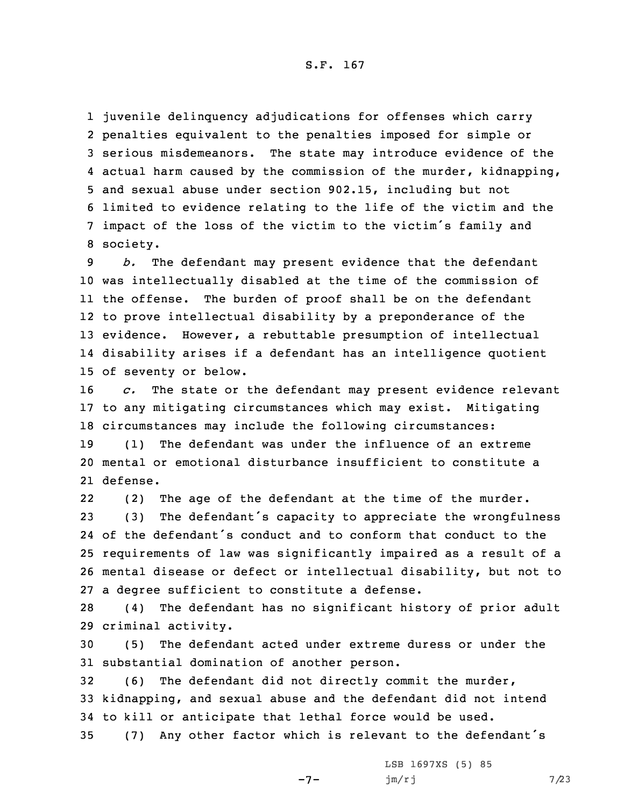juvenile delinquency adjudications for offenses which carry penalties equivalent to the penalties imposed for simple or serious misdemeanors. The state may introduce evidence of the actual harm caused by the commission of the murder, kidnapping, and sexual abuse under section 902.15, including but not limited to evidence relating to the life of the victim and the impact of the loss of the victim to the victim's family and 8 society.

 *b.* The defendant may present evidence that the defendant was intellectually disabled at the time of the commission of the offense. The burden of proof shall be on the defendant to prove intellectual disability by <sup>a</sup> preponderance of the evidence. However, <sup>a</sup> rebuttable presumption of intellectual disability arises if <sup>a</sup> defendant has an intelligence quotient of seventy or below.

16 *c.* The state or the defendant may present evidence relevant 17 to any mitigating circumstances which may exist. Mitigating 18 circumstances may include the following circumstances:

19 (1) The defendant was under the influence of an extreme 20 mental or emotional disturbance insufficient to constitute <sup>a</sup> 21 defense.

22 (2) The age of the defendant at the time of the murder. (3) The defendant's capacity to appreciate the wrongfulness of the defendant's conduct and to conform that conduct to the requirements of law was significantly impaired as <sup>a</sup> result of <sup>a</sup> mental disease or defect or intellectual disability, but not to <sup>a</sup> degree sufficient to constitute <sup>a</sup> defense.

28 (4) The defendant has no significant history of prior adult 29 criminal activity.

30 (5) The defendant acted under extreme duress or under the 31 substantial domination of another person.

32 (6) The defendant did not directly commit the murder, 33 kidnapping, and sexual abuse and the defendant did not intend 34 to kill or anticipate that lethal force would be used.

<sup>35</sup> (7) Any other factor which is relevant to the defendant's

 $-7-$ 

LSB 1697XS (5) 85  $jm/rj$  7/23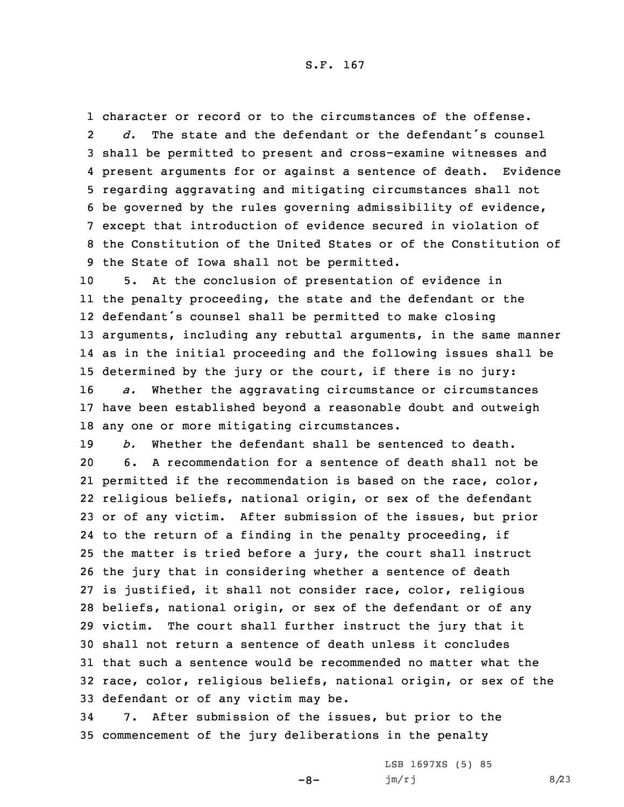character or record or to the circumstances of the offense. 2 *d.* The state and the defendant or the defendant's counsel shall be permitted to present and cross-examine witnesses and present arguments for or against <sup>a</sup> sentence of death. Evidence regarding aggravating and mitigating circumstances shall not be governed by the rules governing admissibility of evidence, except that introduction of evidence secured in violation of the Constitution of the United States or of the Constitution of the State of Iowa shall not be permitted.

 5. At the conclusion of presentation of evidence in the penalty proceeding, the state and the defendant or the defendant's counsel shall be permitted to make closing arguments, including any rebuttal arguments, in the same manner as in the initial proceeding and the following issues shall be determined by the jury or the court, if there is no jury: *a.* Whether the aggravating circumstance or circumstances have been established beyond <sup>a</sup> reasonable doubt and outweigh any one or more mitigating circumstances.

 *b.* Whether the defendant shall be sentenced to death. 6. A recommendation for <sup>a</sup> sentence of death shall not be permitted if the recommendation is based on the race, color, religious beliefs, national origin, or sex of the defendant or of any victim. After submission of the issues, but prior to the return of <sup>a</sup> finding in the penalty proceeding, if the matter is tried before <sup>a</sup> jury, the court shall instruct the jury that in considering whether <sup>a</sup> sentence of death is justified, it shall not consider race, color, religious beliefs, national origin, or sex of the defendant or of any victim. The court shall further instruct the jury that it shall not return <sup>a</sup> sentence of death unless it concludes that such a sentence would be recommended no matter what the race, color, religious beliefs, national origin, or sex of the defendant or of any victim may be.

34 7. After submission of the issues, but prior to the 35 commencement of the jury deliberations in the penalty

 $-8-$ 

LSB 1697XS (5) 85 jm/rj 8/23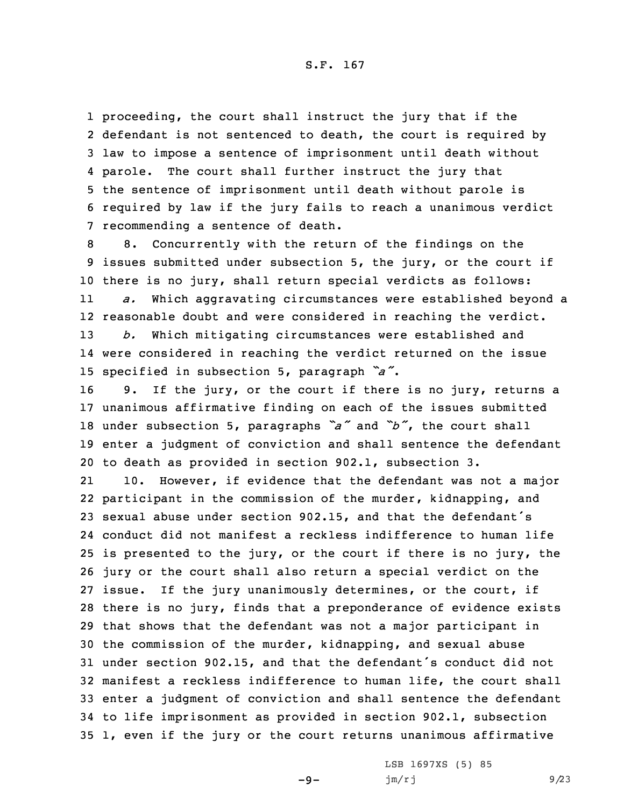proceeding, the court shall instruct the jury that if the defendant is not sentenced to death, the court is required by law to impose <sup>a</sup> sentence of imprisonment until death without 4 parole. The court shall further instruct the jury that the sentence of imprisonment until death without parole is required by law if the jury fails to reach <sup>a</sup> unanimous verdict recommending <sup>a</sup> sentence of death.

 8. Concurrently with the return of the findings on the issues submitted under subsection 5, the jury, or the court if there is no jury, shall return special verdicts as follows: 11 *a.* Which aggravating circumstances were established beyond <sup>a</sup> reasonable doubt and were considered in reaching the verdict. *b.* Which mitigating circumstances were established and were considered in reaching the verdict returned on the issue specified in subsection 5, paragraph *"a"*.

 9. If the jury, or the court if there is no jury, returns <sup>a</sup> unanimous affirmative finding on each of the issues submitted under subsection 5, paragraphs *"a"* and *"b"*, the court shall enter <sup>a</sup> judgment of conviction and shall sentence the defendant to death as provided in section 902.1, subsection 3.

21 10. However, if evidence that the defendant was not <sup>a</sup> major participant in the commission of the murder, kidnapping, and sexual abuse under section 902.15, and that the defendant's conduct did not manifest <sup>a</sup> reckless indifference to human life is presented to the jury, or the court if there is no jury, the jury or the court shall also return <sup>a</sup> special verdict on the issue. If the jury unanimously determines, or the court, if there is no jury, finds that <sup>a</sup> preponderance of evidence exists that shows that the defendant was not <sup>a</sup> major participant in the commission of the murder, kidnapping, and sexual abuse under section 902.15, and that the defendant's conduct did not manifest <sup>a</sup> reckless indifference to human life, the court shall enter <sup>a</sup> judgment of conviction and shall sentence the defendant to life imprisonment as provided in section 902.1, subsection 1, even if the jury or the court returns unanimous affirmative

 $-9-$ 

LSB 1697XS (5) 85 jm/rj 9/23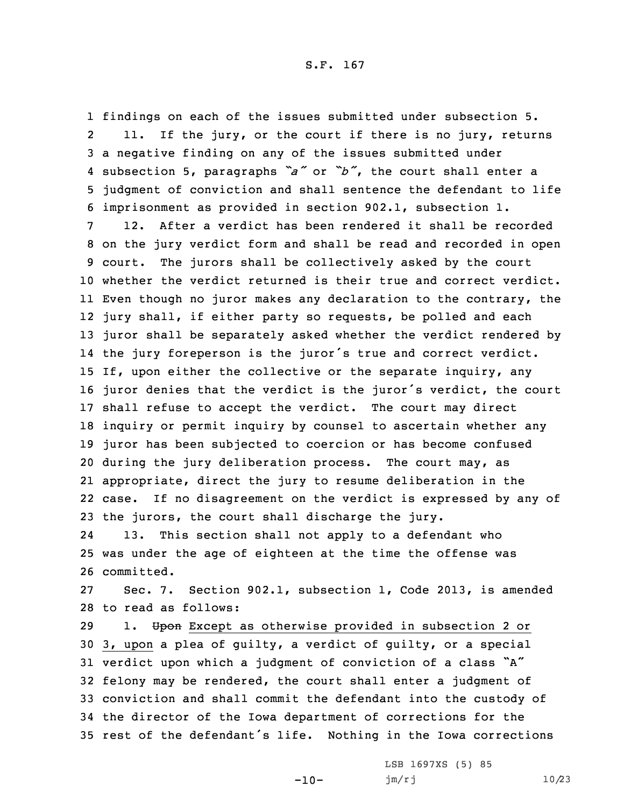findings on each of the issues submitted under subsection 5. 2 11. If the jury, or the court if there is no jury, returns <sup>a</sup> negative finding on any of the issues submitted under subsection 5, paragraphs *"a"* or *"b"*, the court shall enter <sup>a</sup> judgment of conviction and shall sentence the defendant to life imprisonment as provided in section 902.1, subsection 1.

 12. After <sup>a</sup> verdict has been rendered it shall be recorded on the jury verdict form and shall be read and recorded in open court. The jurors shall be collectively asked by the court whether the verdict returned is their true and correct verdict. Even though no juror makes any declaration to the contrary, the jury shall, if either party so requests, be polled and each juror shall be separately asked whether the verdict rendered by the jury foreperson is the juror's true and correct verdict. If, upon either the collective or the separate inquiry, any juror denies that the verdict is the juror's verdict, the court shall refuse to accept the verdict. The court may direct inquiry or permit inquiry by counsel to ascertain whether any juror has been subjected to coercion or has become confused during the jury deliberation process. The court may, as appropriate, direct the jury to resume deliberation in the case. If no disagreement on the verdict is expressed by any of the jurors, the court shall discharge the jury.

24 13. This section shall not apply to <sup>a</sup> defendant who 25 was under the age of eighteen at the time the offense was 26 committed.

27 Sec. 7. Section 902.1, subsection 1, Code 2013, is amended 28 to read as follows:

29 1. Upon Except as otherwise provided in subsection 2 or 3, upon <sup>a</sup> plea of guilty, <sup>a</sup> verdict of guilty, or <sup>a</sup> special verdict upon which <sup>a</sup> judgment of conviction of <sup>a</sup> class "A" felony may be rendered, the court shall enter <sup>a</sup> judgment of conviction and shall commit the defendant into the custody of the director of the Iowa department of corrections for the rest of the defendant's life. Nothing in the Iowa corrections

-10-

LSB 1697XS (5) 85 jm/rj 10/23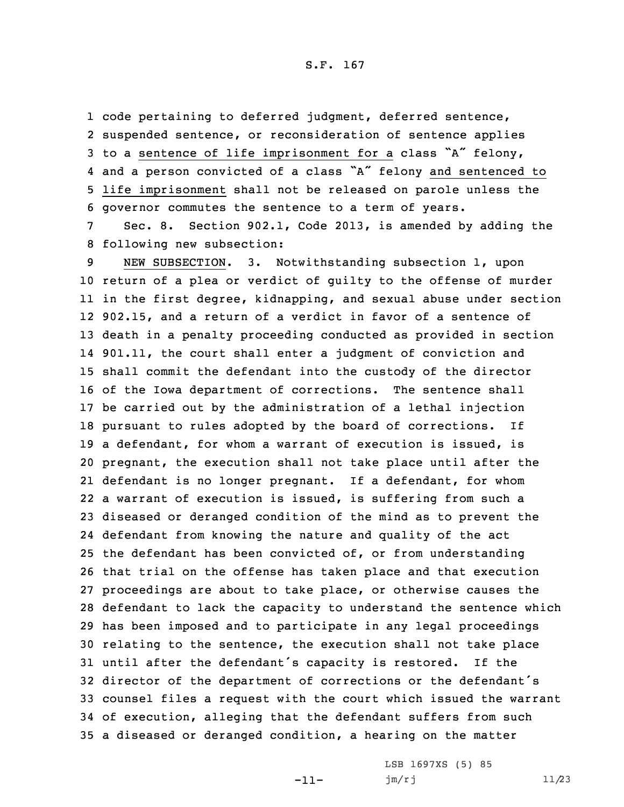code pertaining to deferred judgment, deferred sentence, suspended sentence, or reconsideration of sentence applies to <sup>a</sup> sentence of life imprisonment for <sup>a</sup> class "A" felony, and <sup>a</sup> person convicted of <sup>a</sup> class "A" felony and sentenced to life imprisonment shall not be released on parole unless the governor commutes the sentence to <sup>a</sup> term of years.

7 Sec. 8. Section 902.1, Code 2013, is amended by adding the 8 following new subsection:

 NEW SUBSECTION. 3. Notwithstanding subsection 1, upon return of <sup>a</sup> plea or verdict of guilty to the offense of murder in the first degree, kidnapping, and sexual abuse under section 902.15, and <sup>a</sup> return of <sup>a</sup> verdict in favor of <sup>a</sup> sentence of death in <sup>a</sup> penalty proceeding conducted as provided in section 901.11, the court shall enter <sup>a</sup> judgment of conviction and shall commit the defendant into the custody of the director of the Iowa department of corrections. The sentence shall be carried out by the administration of <sup>a</sup> lethal injection pursuant to rules adopted by the board of corrections. If <sup>a</sup> defendant, for whom <sup>a</sup> warrant of execution is issued, is pregnant, the execution shall not take place until after the defendant is no longer pregnant. If <sup>a</sup> defendant, for whom <sup>a</sup> warrant of execution is issued, is suffering from such <sup>a</sup> diseased or deranged condition of the mind as to prevent the defendant from knowing the nature and quality of the act the defendant has been convicted of, or from understanding that trial on the offense has taken place and that execution proceedings are about to take place, or otherwise causes the defendant to lack the capacity to understand the sentence which has been imposed and to participate in any legal proceedings relating to the sentence, the execution shall not take place until after the defendant's capacity is restored. If the director of the department of corrections or the defendant's counsel files <sup>a</sup> request with the court which issued the warrant of execution, alleging that the defendant suffers from such <sup>a</sup> diseased or deranged condition, <sup>a</sup> hearing on the matter

-11-

LSB 1697XS (5) 85 jm/rj 11/23

## S.F. 167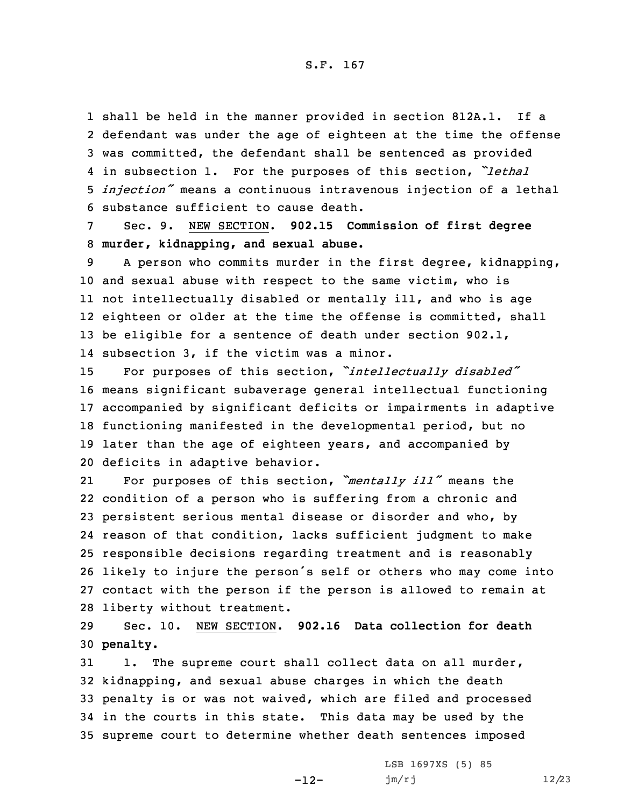shall be held in the manner provided in section 812A.1. If <sup>a</sup> defendant was under the age of eighteen at the time the offense was committed, the defendant shall be sentenced as provided in subsection 1. For the purposes of this section, *"lethal injection"* means <sup>a</sup> continuous intravenous injection of <sup>a</sup> lethal substance sufficient to cause death.

7 Sec. 9. NEW SECTION. **902.15 Commission of first degree** 8 **murder, kidnapping, and sexual abuse.**

 <sup>A</sup> person who commits murder in the first degree, kidnapping, and sexual abuse with respect to the same victim, who is not intellectually disabled or mentally ill, and who is age eighteen or older at the time the offense is committed, shall 13 be eligible for a sentence of death under section 902.1, subsection 3, if the victim was <sup>a</sup> minor.

 For purposes of this section, *"intellectually disabled"* means significant subaverage general intellectual functioning accompanied by significant deficits or impairments in adaptive functioning manifested in the developmental period, but no later than the age of eighteen years, and accompanied by deficits in adaptive behavior.

21 For purposes of this section, *"mentally ill"* means the condition of <sup>a</sup> person who is suffering from <sup>a</sup> chronic and persistent serious mental disease or disorder and who, by reason of that condition, lacks sufficient judgment to make responsible decisions regarding treatment and is reasonably likely to injure the person's self or others who may come into contact with the person if the person is allowed to remain at liberty without treatment.

29 Sec. 10. NEW SECTION. **902.16 Data collection for death** 30 **penalty.**

 1. The supreme court shall collect data on all murder, kidnapping, and sexual abuse charges in which the death penalty is or was not waived, which are filed and processed in the courts in this state. This data may be used by the supreme court to determine whether death sentences imposed

-12-

LSB 1697XS (5) 85 jm/rj 12/23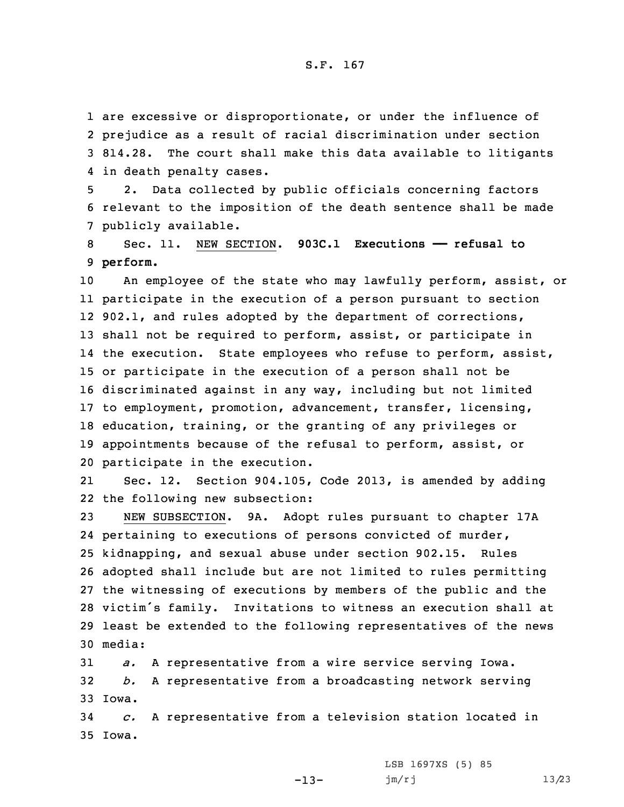are excessive or disproportionate, or under the influence of prejudice as <sup>a</sup> result of racial discrimination under section 814.28. The court shall make this data available to litigants in death penalty cases.

5 2. Data collected by public officials concerning factors 6 relevant to the imposition of the death sentence shall be made 7 publicly available.

8 Sec. 11. NEW SECTION. **903C.1 Executions —— refusal to** 9 **perform.**

 An employee of the state who may lawfully perform, assist, or participate in the execution of <sup>a</sup> person pursuant to section 12 902.1, and rules adopted by the department of corrections, shall not be required to perform, assist, or participate in 14 the execution. State employees who refuse to perform, assist, or participate in the execution of <sup>a</sup> person shall not be discriminated against in any way, including but not limited to employment, promotion, advancement, transfer, licensing, education, training, or the granting of any privileges or appointments because of the refusal to perform, assist, or participate in the execution.

21 Sec. 12. Section 904.105, Code 2013, is amended by adding 22 the following new subsection:

 NEW SUBSECTION. 9A. Adopt rules pursuant to chapter 17A pertaining to executions of persons convicted of murder, kidnapping, and sexual abuse under section 902.15. Rules adopted shall include but are not limited to rules permitting the witnessing of executions by members of the public and the victim's family. Invitations to witness an execution shall at least be extended to the following representatives of the news 30 media:

31 *a.* <sup>A</sup> representative from <sup>a</sup> wire service serving Iowa. 32 *b.* <sup>A</sup> representative from <sup>a</sup> broadcasting network serving 33 Iowa.

34 *c.* <sup>A</sup> representative from <sup>a</sup> television station located in 35 Iowa.

-13-

LSB 1697XS (5) 85 jm/rj 13/23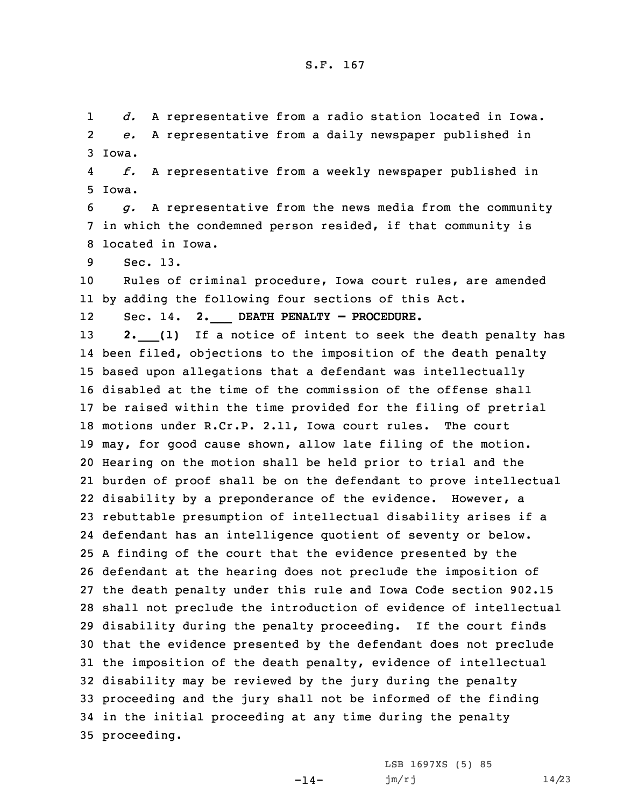1 *d.* <sup>A</sup> representative from <sup>a</sup> radio station located in Iowa. 2 *e.* <sup>A</sup> representative from <sup>a</sup> daily newspaper published in 3 Iowa.

4 *f.* <sup>A</sup> representative from <sup>a</sup> weekly newspaper published in 5 Iowa.

6 *g.* <sup>A</sup> representative from the news media from the community 7 in which the condemned person resided, if that community is 8 located in Iowa.

9 Sec. 13.

10 Rules of criminal procedure, Iowa court rules, are amended 11 by adding the following four sections of this Act.

12Sec. 14. **2.\_\_\_ DEATH PENALTY — PROCEDURE.**

**2.** (1) If a notice of intent to seek the death penalty has been filed, objections to the imposition of the death penalty based upon allegations that <sup>a</sup> defendant was intellectually disabled at the time of the commission of the offense shall be raised within the time provided for the filing of pretrial motions under R.Cr.P. 2.11, Iowa court rules. The court may, for good cause shown, allow late filing of the motion. Hearing on the motion shall be held prior to trial and the burden of proof shall be on the defendant to prove intellectual disability by <sup>a</sup> preponderance of the evidence. However, <sup>a</sup> rebuttable presumption of intellectual disability arises if <sup>a</sup> defendant has an intelligence quotient of seventy or below. <sup>A</sup> finding of the court that the evidence presented by the defendant at the hearing does not preclude the imposition of the death penalty under this rule and Iowa Code section 902.15 shall not preclude the introduction of evidence of intellectual disability during the penalty proceeding. If the court finds that the evidence presented by the defendant does not preclude the imposition of the death penalty, evidence of intellectual disability may be reviewed by the jury during the penalty proceeding and the jury shall not be informed of the finding in the initial proceeding at any time during the penalty proceeding.

 $-14-$ 

LSB 1697XS (5) 85 jm/rj 14/23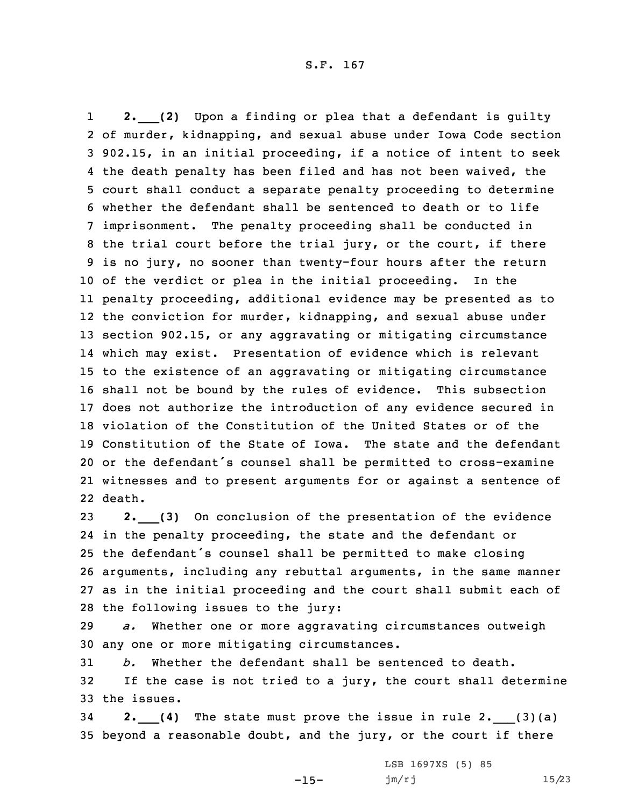1 **2.\_\_\_(2)** Upon <sup>a</sup> finding or plea that <sup>a</sup> defendant is guilty of murder, kidnapping, and sexual abuse under Iowa Code section 902.15, in an initial proceeding, if <sup>a</sup> notice of intent to seek 4 the death penalty has been filed and has not been waived, the court shall conduct <sup>a</sup> separate penalty proceeding to determine whether the defendant shall be sentenced to death or to life imprisonment. The penalty proceeding shall be conducted in the trial court before the trial jury, or the court, if there is no jury, no sooner than twenty-four hours after the return of the verdict or plea in the initial proceeding. In the penalty proceeding, additional evidence may be presented as to the conviction for murder, kidnapping, and sexual abuse under section 902.15, or any aggravating or mitigating circumstance which may exist. Presentation of evidence which is relevant to the existence of an aggravating or mitigating circumstance shall not be bound by the rules of evidence. This subsection does not authorize the introduction of any evidence secured in violation of the Constitution of the United States or of the Constitution of the State of Iowa. The state and the defendant or the defendant's counsel shall be permitted to cross-examine witnesses and to present arguments for or against <sup>a</sup> sentence of 22 death.

 **2.\_\_\_(3)** On conclusion of the presentation of the evidence in the penalty proceeding, the state and the defendant or the defendant's counsel shall be permitted to make closing arguments, including any rebuttal arguments, in the same manner as in the initial proceeding and the court shall submit each of the following issues to the jury:

29 *a.* Whether one or more aggravating circumstances outweigh 30 any one or more mitigating circumstances.

31 *b.* Whether the defendant shall be sentenced to death. 32 If the case is not tried to <sup>a</sup> jury, the court shall determine 33 the issues.

<sup>34</sup> **2.\_\_\_(4)** The state must prove the issue in rule 2.\_\_\_(3)(a) 35 beyond <sup>a</sup> reasonable doubt, and the jury, or the court if there

 $-15-$ 

LSB 1697XS (5) 85 jm/rj 15/23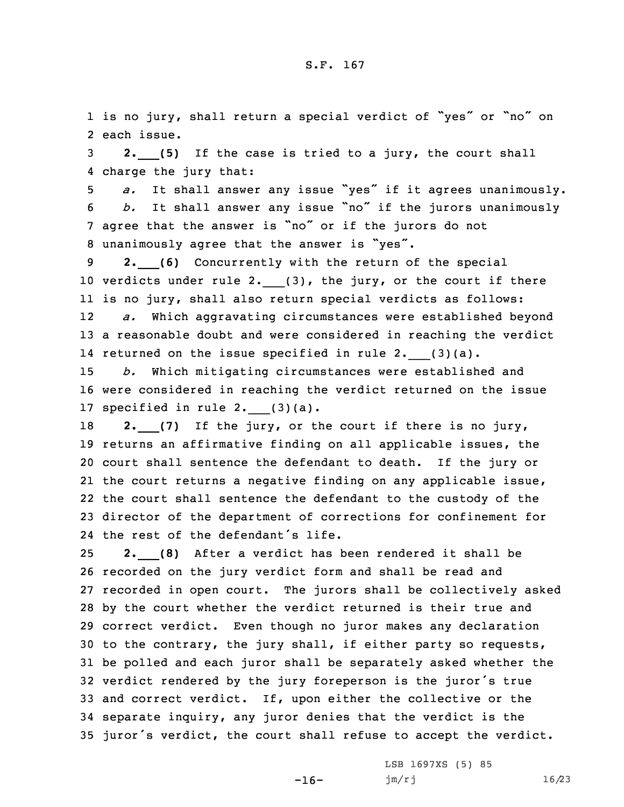1 is no jury, shall return <sup>a</sup> special verdict of "yes" or "no" on 2 each issue.

<sup>3</sup> **2.\_\_\_(5)** If the case is tried to <sup>a</sup> jury, the court shall 4 charge the jury that:

 *a.* It shall answer any issue "yes" if it agrees unanimously. *b.* It shall answer any issue "no" if the jurors unanimously agree that the answer is "no" or if the jurors do not unanimously agree that the answer is "yes".

<sup>9</sup> **2.\_\_\_(6)** Concurrently with the return of the special 10 verdicts under rule 2. (3), the jury, or the court if there 11 is no jury, shall also return special verdicts as follows: 12 *a.* Which aggravating circumstances were established beyond 13 <sup>a</sup> reasonable doubt and were considered in reaching the verdict 14 returned on the issue specified in rule 2. \_\_(3)(a).

15 *b.* Which mitigating circumstances were established and 16 were considered in reaching the verdict returned on the issue 17 specified in rule  $2.$  (3)(a).

**2.** (7) If the jury, or the court if there is no jury, returns an affirmative finding on all applicable issues, the court shall sentence the defendant to death. If the jury or the court returns <sup>a</sup> negative finding on any applicable issue, the court shall sentence the defendant to the custody of the director of the department of corrections for confinement for the rest of the defendant's life.

 **2.\_\_\_(8)** After <sup>a</sup> verdict has been rendered it shall be recorded on the jury verdict form and shall be read and recorded in open court. The jurors shall be collectively asked by the court whether the verdict returned is their true and correct verdict. Even though no juror makes any declaration to the contrary, the jury shall, if either party so requests, be polled and each juror shall be separately asked whether the verdict rendered by the jury foreperson is the juror's true and correct verdict. If, upon either the collective or the separate inquiry, any juror denies that the verdict is the juror's verdict, the court shall refuse to accept the verdict.

-16-

LSB 1697XS (5) 85 jm/rj 16/23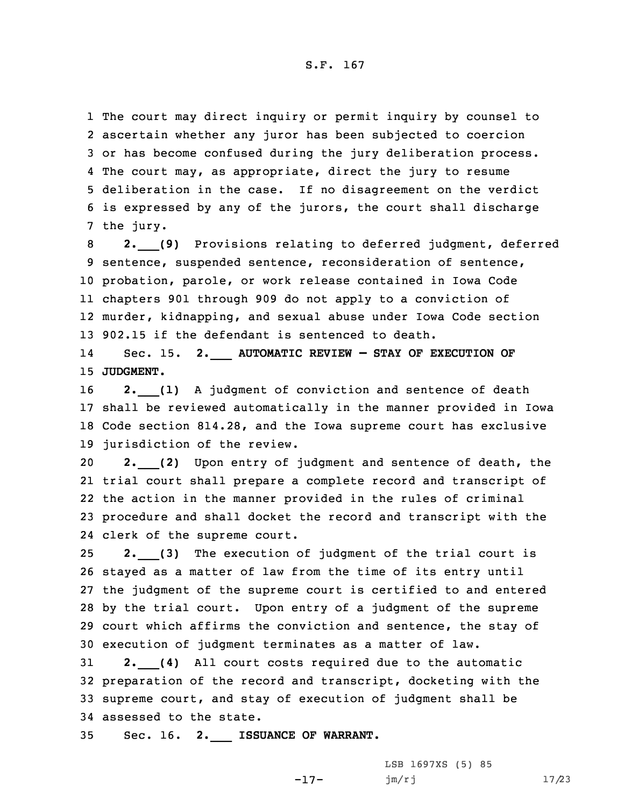The court may direct inquiry or permit inquiry by counsel to ascertain whether any juror has been subjected to coercion or has become confused during the jury deliberation process. The court may, as appropriate, direct the jury to resume deliberation in the case. If no disagreement on the verdict is expressed by any of the jurors, the court shall discharge the jury.

 **2.\_\_\_(9)** Provisions relating to deferred judgment, deferred sentence, suspended sentence, reconsideration of sentence, probation, parole, or work release contained in Iowa Code chapters 901 through 909 do not apply to <sup>a</sup> conviction of murder, kidnapping, and sexual abuse under Iowa Code section 902.15 if the defendant is sentenced to death.

14 Sec. 15. **2.\_\_\_ AUTOMATIC REVIEW — STAY OF EXECUTION OF** 15 **JUDGMENT.**

**2.** (1) A judgment of conviction and sentence of death shall be reviewed automatically in the manner provided in Iowa Code section 814.28, and the Iowa supreme court has exclusive jurisdiction of the review.

 **2.\_\_\_(2)** Upon entry of judgment and sentence of death, the trial court shall prepare <sup>a</sup> complete record and transcript of the action in the manner provided in the rules of criminal procedure and shall docket the record and transcript with the clerk of the supreme court.

 **2.\_\_\_(3)** The execution of judgment of the trial court is stayed as <sup>a</sup> matter of law from the time of its entry until the judgment of the supreme court is certified to and entered by the trial court. Upon entry of <sup>a</sup> judgment of the supreme court which affirms the conviction and sentence, the stay of execution of judgment terminates as <sup>a</sup> matter of law.

 **2.\_\_\_(4)** All court costs required due to the automatic preparation of the record and transcript, docketing with the supreme court, and stay of execution of judgment shall be assessed to the state.

35 Sec. 16. **2.\_\_\_ ISSUANCE OF WARRANT.**

LSB 1697XS (5) 85 jm/rj 17/23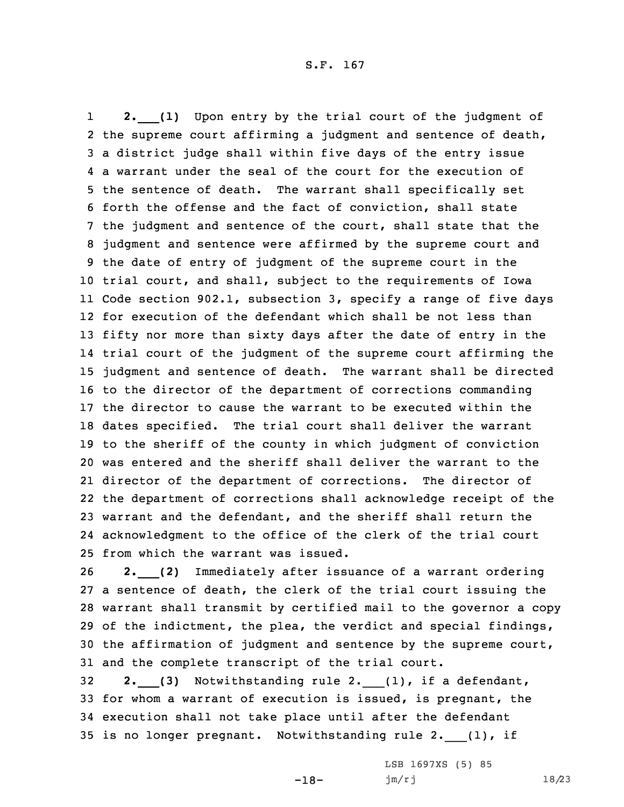1 **2.\_\_\_(1)** Upon entry by the trial court of the judgment of 2 the supreme court affirming a judgment and sentence of death, <sup>a</sup> district judge shall within five days of the entry issue <sup>a</sup> warrant under the seal of the court for the execution of the sentence of death. The warrant shall specifically set forth the offense and the fact of conviction, shall state the judgment and sentence of the court, shall state that the judgment and sentence were affirmed by the supreme court and the date of entry of judgment of the supreme court in the trial court, and shall, subject to the requirements of Iowa Code section 902.1, subsection 3, specify <sup>a</sup> range of five days for execution of the defendant which shall be not less than fifty nor more than sixty days after the date of entry in the trial court of the judgment of the supreme court affirming the judgment and sentence of death. The warrant shall be directed to the director of the department of corrections commanding the director to cause the warrant to be executed within the dates specified. The trial court shall deliver the warrant to the sheriff of the county in which judgment of conviction was entered and the sheriff shall deliver the warrant to the director of the department of corrections. The director of the department of corrections shall acknowledge receipt of the warrant and the defendant, and the sheriff shall return the acknowledgment to the office of the clerk of the trial court from which the warrant was issued.

 **2.\_\_\_(2)** Immediately after issuance of <sup>a</sup> warrant ordering <sup>a</sup> sentence of death, the clerk of the trial court issuing the warrant shall transmit by certified mail to the governor <sup>a</sup> copy of the indictment, the plea, the verdict and special findings, the affirmation of judgment and sentence by the supreme court, and the complete transcript of the trial court.

 **2.\_\_\_(3)** Notwithstanding rule 2.\_\_\_(1), if <sup>a</sup> defendant, for whom <sup>a</sup> warrant of execution is issued, is pregnant, the execution shall not take place until after the defendant 35 is no longer pregnant. Notwithstanding rule 2. (1), if

-18-

LSB 1697XS (5) 85 jm/rj 18/23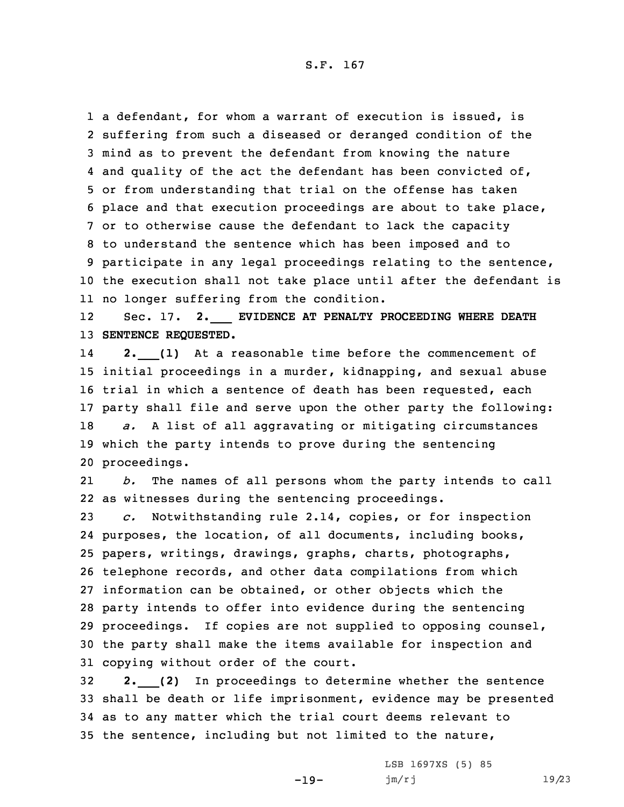<sup>a</sup> defendant, for whom <sup>a</sup> warrant of execution is issued, is suffering from such <sup>a</sup> diseased or deranged condition of the mind as to prevent the defendant from knowing the nature 4 and quality of the act the defendant has been convicted of, or from understanding that trial on the offense has taken place and that execution proceedings are about to take place, or to otherwise cause the defendant to lack the capacity to understand the sentence which has been imposed and to participate in any legal proceedings relating to the sentence, the execution shall not take place until after the defendant is no longer suffering from the condition.

12 Sec. 17. **2.\_\_\_ EVIDENCE AT PENALTY PROCEEDING WHERE DEATH** 13 **SENTENCE REQUESTED.**

14 **2.\_\_\_(1)** At <sup>a</sup> reasonable time before the commencement of initial proceedings in <sup>a</sup> murder, kidnapping, and sexual abuse trial in which <sup>a</sup> sentence of death has been requested, each party shall file and serve upon the other party the following: *a.* <sup>A</sup> list of all aggravating or mitigating circumstances which the party intends to prove during the sentencing proceedings.

21 *b.* The names of all persons whom the party intends to call 22 as witnesses during the sentencing proceedings.

 *c.* Notwithstanding rule 2.14, copies, or for inspection purposes, the location, of all documents, including books, papers, writings, drawings, graphs, charts, photographs, telephone records, and other data compilations from which information can be obtained, or other objects which the party intends to offer into evidence during the sentencing proceedings. If copies are not supplied to opposing counsel, the party shall make the items available for inspection and copying without order of the court.

 **2.\_\_\_(2)** In proceedings to determine whether the sentence shall be death or life imprisonment, evidence may be presented as to any matter which the trial court deems relevant to the sentence, including but not limited to the nature,

-19-

LSB 1697XS (5) 85 jm/rj 19/23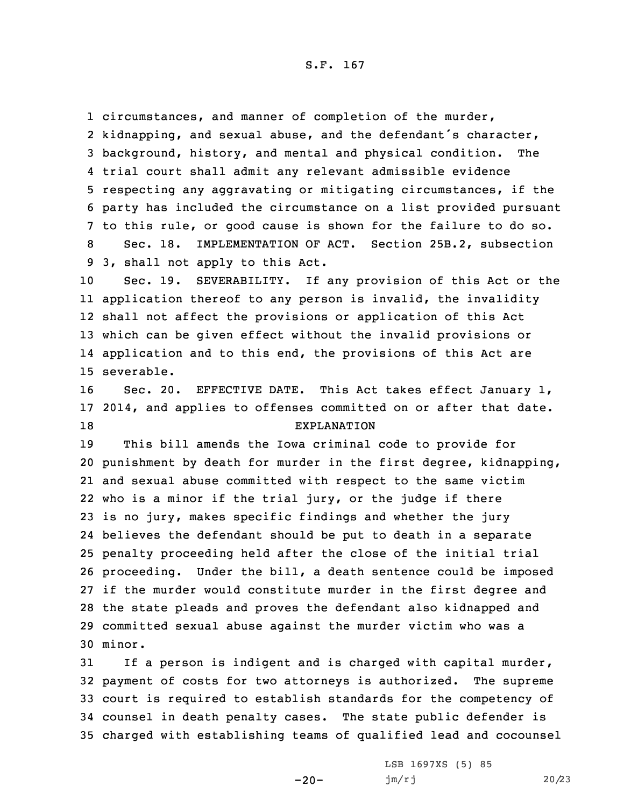circumstances, and manner of completion of the murder, kidnapping, and sexual abuse, and the defendant's character, background, history, and mental and physical condition. The trial court shall admit any relevant admissible evidence respecting any aggravating or mitigating circumstances, if the party has included the circumstance on <sup>a</sup> list provided pursuant to this rule, or good cause is shown for the failure to do so. Sec. 18. IMPLEMENTATION OF ACT. Section 25B.2, subsection 3, shall not apply to this Act.

 Sec. 19. SEVERABILITY. If any provision of this Act or the application thereof to any person is invalid, the invalidity shall not affect the provisions or application of this Act which can be given effect without the invalid provisions or application and to this end, the provisions of this Act are severable.

16 Sec. 20. EFFECTIVE DATE. This Act takes effect January 1, 17 2014, and applies to offenses committed on or after that date. 18 EXPLANATION

 This bill amends the Iowa criminal code to provide for punishment by death for murder in the first degree, kidnapping, and sexual abuse committed with respect to the same victim who is <sup>a</sup> minor if the trial jury, or the judge if there is no jury, makes specific findings and whether the jury believes the defendant should be put to death in <sup>a</sup> separate penalty proceeding held after the close of the initial trial proceeding. Under the bill, <sup>a</sup> death sentence could be imposed if the murder would constitute murder in the first degree and the state pleads and proves the defendant also kidnapped and committed sexual abuse against the murder victim who was <sup>a</sup> 30 minor.

 If <sup>a</sup> person is indigent and is charged with capital murder, payment of costs for two attorneys is authorized. The supreme court is required to establish standards for the competency of counsel in death penalty cases. The state public defender is charged with establishing teams of qualified lead and cocounsel

 $-20-$ 

LSB 1697XS (5) 85 jm/rj 20/23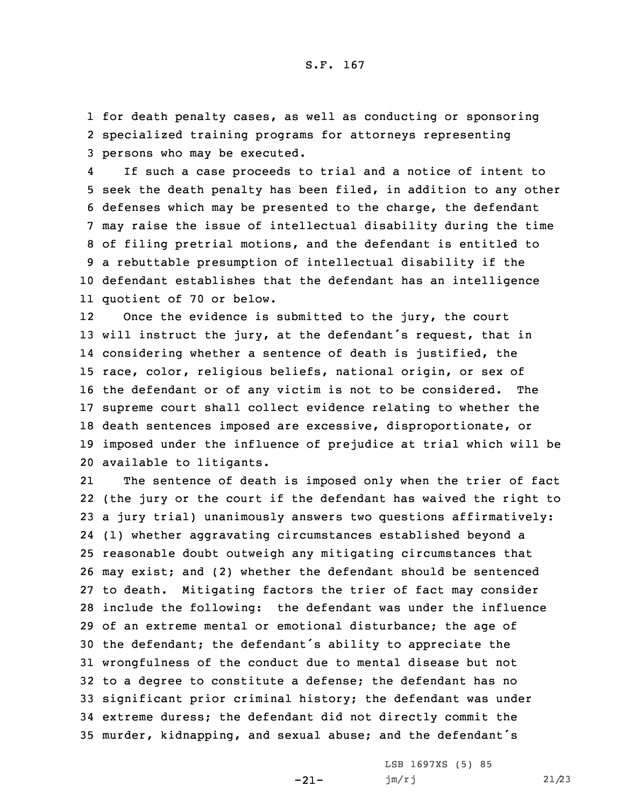1 for death penalty cases, as well as conducting or sponsoring 2 specialized training programs for attorneys representing 3 persons who may be executed.

4 If such <sup>a</sup> case proceeds to trial and <sup>a</sup> notice of intent to seek the death penalty has been filed, in addition to any other defenses which may be presented to the charge, the defendant may raise the issue of intellectual disability during the time of filing pretrial motions, and the defendant is entitled to <sup>a</sup> rebuttable presumption of intellectual disability if the defendant establishes that the defendant has an intelligence quotient of 70 or below.

12 Once the evidence is submitted to the jury, the court will instruct the jury, at the defendant's request, that in considering whether <sup>a</sup> sentence of death is justified, the race, color, religious beliefs, national origin, or sex of the defendant or of any victim is not to be considered. The supreme court shall collect evidence relating to whether the death sentences imposed are excessive, disproportionate, or imposed under the influence of prejudice at trial which will be available to litigants.

21 The sentence of death is imposed only when the trier of fact (the jury or the court if the defendant has waived the right to <sup>a</sup> jury trial) unanimously answers two questions affirmatively: (1) whether aggravating circumstances established beyond <sup>a</sup> reasonable doubt outweigh any mitigating circumstances that may exist; and (2) whether the defendant should be sentenced to death. Mitigating factors the trier of fact may consider include the following: the defendant was under the influence of an extreme mental or emotional disturbance; the age of the defendant; the defendant's ability to appreciate the wrongfulness of the conduct due to mental disease but not to <sup>a</sup> degree to constitute <sup>a</sup> defense; the defendant has no significant prior criminal history; the defendant was under extreme duress; the defendant did not directly commit the murder, kidnapping, and sexual abuse; and the defendant's

-21-

LSB 1697XS (5) 85 jm/rj 21/23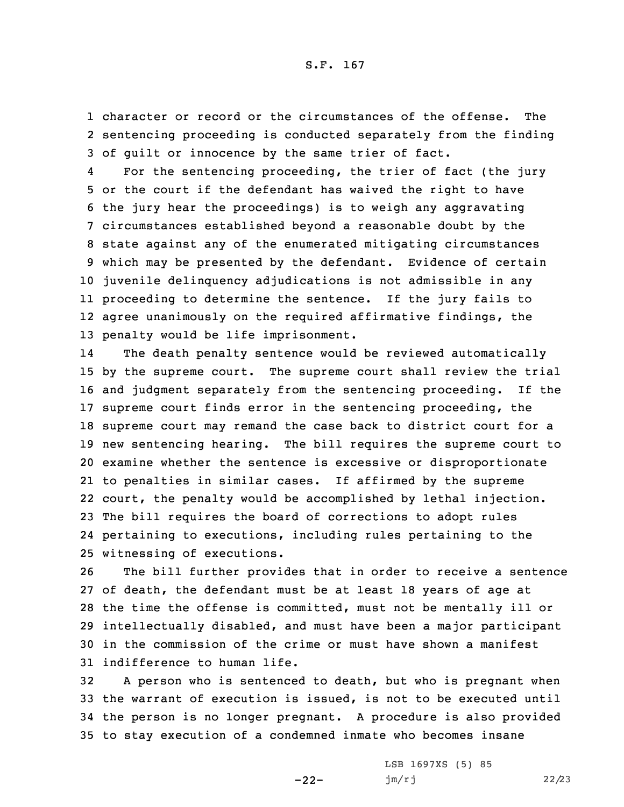1 character or record or the circumstances of the offense. The 2 sentencing proceeding is conducted separately from the finding 3 of guilt or innocence by the same trier of fact.

4 For the sentencing proceeding, the trier of fact (the jury or the court if the defendant has waived the right to have the jury hear the proceedings) is to weigh any aggravating circumstances established beyond <sup>a</sup> reasonable doubt by the state against any of the enumerated mitigating circumstances which may be presented by the defendant. Evidence of certain juvenile delinquency adjudications is not admissible in any proceeding to determine the sentence. If the jury fails to agree unanimously on the required affirmative findings, the penalty would be life imprisonment.

14 The death penalty sentence would be reviewed automatically by the supreme court. The supreme court shall review the trial and judgment separately from the sentencing proceeding. If the supreme court finds error in the sentencing proceeding, the supreme court may remand the case back to district court for <sup>a</sup> new sentencing hearing. The bill requires the supreme court to examine whether the sentence is excessive or disproportionate to penalties in similar cases. If affirmed by the supreme court, the penalty would be accomplished by lethal injection. The bill requires the board of corrections to adopt rules pertaining to executions, including rules pertaining to the witnessing of executions.

 The bill further provides that in order to receive <sup>a</sup> sentence of death, the defendant must be at least 18 years of age at the time the offense is committed, must not be mentally ill or intellectually disabled, and must have been <sup>a</sup> major participant in the commission of the crime or must have shown <sup>a</sup> manifest indifference to human life.

 <sup>A</sup> person who is sentenced to death, but who is pregnant when the warrant of execution is issued, is not to be executed until the person is no longer pregnant. <sup>A</sup> procedure is also provided to stay execution of <sup>a</sup> condemned inmate who becomes insane

-22-

LSB 1697XS (5) 85 jm/rj 22/23